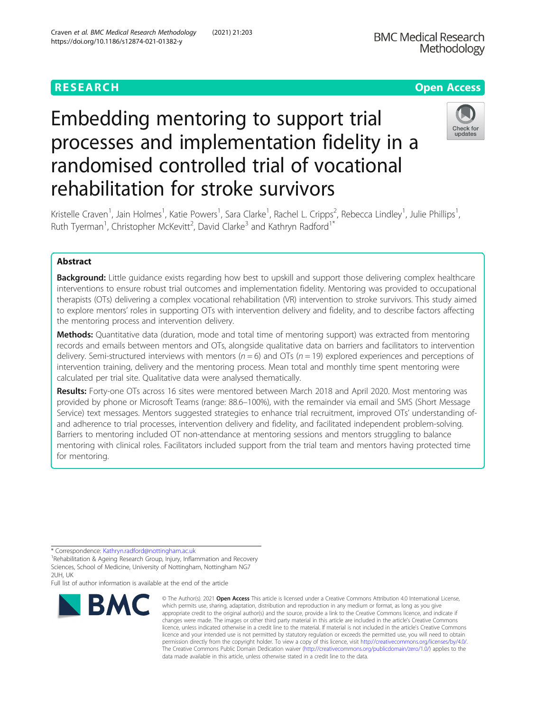# **RESEARCH CHE Open Access**

# Embedding mentoring to support trial processes and implementation fidelity in a randomised controlled trial of vocational rehabilitation for stroke survivors



Kristelle Craven<sup>1</sup>, Jain Holmes<sup>1</sup>, Katie Powers<sup>1</sup>, Sara Clarke<sup>1</sup>, Rachel L. Cripps<sup>2</sup>, Rebecca Lindley<sup>1</sup>, Julie Phillips<sup>1</sup> , Ruth Tyerman<sup>1</sup>, Christopher McKevitt<sup>2</sup>, David Clarke<sup>3</sup> and Kathryn Radford<sup>1\*</sup>

# Abstract

**Background:** Little guidance exists regarding how best to upskill and support those delivering complex healthcare interventions to ensure robust trial outcomes and implementation fidelity. Mentoring was provided to occupational therapists (OTs) delivering a complex vocational rehabilitation (VR) intervention to stroke survivors. This study aimed to explore mentors' roles in supporting OTs with intervention delivery and fidelity, and to describe factors affecting the mentoring process and intervention delivery.

Methods: Quantitative data (duration, mode and total time of mentoring support) was extracted from mentoring records and emails between mentors and OTs, alongside qualitative data on barriers and facilitators to intervention delivery. Semi-structured interviews with mentors ( $n = 6$ ) and OTs ( $n = 19$ ) explored experiences and perceptions of intervention training, delivery and the mentoring process. Mean total and monthly time spent mentoring were calculated per trial site. Qualitative data were analysed thematically.

Results: Forty-one OTs across 16 sites were mentored between March 2018 and April 2020. Most mentoring was provided by phone or Microsoft Teams (range: 88.6–100%), with the remainder via email and SMS (Short Message Service) text messages. Mentors suggested strategies to enhance trial recruitment, improved OTs' understanding ofand adherence to trial processes, intervention delivery and fidelity, and facilitated independent problem-solving. Barriers to mentoring included OT non-attendance at mentoring sessions and mentors struggling to balance mentoring with clinical roles. Facilitators included support from the trial team and mentors having protected time for mentoring.

Full list of author information is available at the end of the article



<sup>©</sup> The Author(s), 2021 **Open Access** This article is licensed under a Creative Commons Attribution 4.0 International License, which permits use, sharing, adaptation, distribution and reproduction in any medium or format, as long as you give appropriate credit to the original author(s) and the source, provide a link to the Creative Commons licence, and indicate if changes were made. The images or other third party material in this article are included in the article's Creative Commons licence, unless indicated otherwise in a credit line to the material. If material is not included in the article's Creative Commons licence and your intended use is not permitted by statutory regulation or exceeds the permitted use, you will need to obtain permission directly from the copyright holder. To view a copy of this licence, visit [http://creativecommons.org/licenses/by/4.0/.](http://creativecommons.org/licenses/by/4.0/) The Creative Commons Public Domain Dedication waiver [\(http://creativecommons.org/publicdomain/zero/1.0/](http://creativecommons.org/publicdomain/zero/1.0/)) applies to the data made available in this article, unless otherwise stated in a credit line to the data.

<sup>\*</sup> Correspondence: [Kathryn.radford@nottingham.ac.uk](mailto:Kathryn.radford@nottingham.ac.uk) <sup>1</sup>

Rehabilitation & Ageing Research Group, Injury, Inflammation and Recovery Sciences, School of Medicine, University of Nottingham, Nottingham NG7 2UH, UK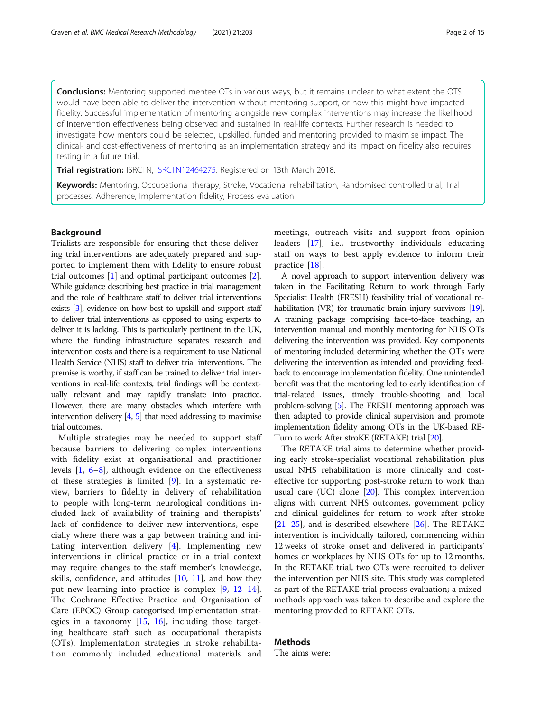**Conclusions:** Mentoring supported mentee OTs in various ways, but it remains unclear to what extent the OTS would have been able to deliver the intervention without mentoring support, or how this might have impacted fidelity. Successful implementation of mentoring alongside new complex interventions may increase the likelihood of intervention effectiveness being observed and sustained in real-life contexts. Further research is needed to investigate how mentors could be selected, upskilled, funded and mentoring provided to maximise impact. The clinical- and cost-effectiveness of mentoring as an implementation strategy and its impact on fidelity also requires testing in a future trial.

Trial registration: ISRCTN, [ISRCTN12464275](https://pubmed.ncbi.nlm.nih.gov/33298162/). Registered on 13th March 2018.

Keywords: Mentoring, Occupational therapy, Stroke, Vocational rehabilitation, Randomised controlled trial, Trial processes, Adherence, Implementation fidelity, Process evaluation

# Background

Trialists are responsible for ensuring that those delivering trial interventions are adequately prepared and supported to implement them with fidelity to ensure robust trial outcomes [\[1](#page-13-0)] and optimal participant outcomes [\[2](#page-13-0)]. While guidance describing best practice in trial management and the role of healthcare staff to deliver trial interventions exists [\[3](#page-13-0)], evidence on how best to upskill and support staff to deliver trial interventions as opposed to using experts to deliver it is lacking. This is particularly pertinent in the UK, where the funding infrastructure separates research and intervention costs and there is a requirement to use National Health Service (NHS) staff to deliver trial interventions. The premise is worthy, if staff can be trained to deliver trial interventions in real-life contexts, trial findings will be contextually relevant and may rapidly translate into practice. However, there are many obstacles which interfere with intervention delivery [\[4,](#page-13-0) [5](#page-13-0)] that need addressing to maximise trial outcomes.

Multiple strategies may be needed to support staff because barriers to delivering complex interventions with fidelity exist at organisational and practitioner levels [[1](#page-13-0), [6](#page-13-0)–[8\]](#page-14-0), although evidence on the effectiveness of these strategies is limited [[9\]](#page-14-0). In a systematic review, barriers to fidelity in delivery of rehabilitation to people with long-term neurological conditions included lack of availability of training and therapists' lack of confidence to deliver new interventions, especially where there was a gap between training and initiating intervention delivery [[4\]](#page-13-0). Implementing new interventions in clinical practice or in a trial context may require changes to the staff member's knowledge, skills, confidence, and attitudes  $[10, 11]$  $[10, 11]$  $[10, 11]$  $[10, 11]$  $[10, 11]$ , and how they put new learning into practice is complex [\[9](#page-14-0), [12](#page-14-0)–[14](#page-14-0)]. The Cochrane Effective Practice and Organisation of Care (EPOC) Group categorised implementation strategies in a taxonomy [\[15](#page-14-0), [16](#page-14-0)], including those targeting healthcare staff such as occupational therapists (OTs). Implementation strategies in stroke rehabilitation commonly included educational materials and

meetings, outreach visits and support from opinion leaders [[17\]](#page-14-0), i.e., trustworthy individuals educating staff on ways to best apply evidence to inform their practice [[18\]](#page-14-0).

A novel approach to support intervention delivery was taken in the Facilitating Return to work through Early Specialist Health (FRESH) feasibility trial of vocational rehabilitation (VR) for traumatic brain injury survivors [\[19](#page-14-0)]. A training package comprising face-to-face teaching, an intervention manual and monthly mentoring for NHS OTs delivering the intervention was provided. Key components of mentoring included determining whether the OTs were delivering the intervention as intended and providing feedback to encourage implementation fidelity. One unintended benefit was that the mentoring led to early identification of trial-related issues, timely trouble-shooting and local problem-solving [\[5\]](#page-13-0). The FRESH mentoring approach was then adapted to provide clinical supervision and promote implementation fidelity among OTs in the UK-based RE-Turn to work After stroKE (RETAKE) trial [\[20\]](#page-14-0).

The RETAKE trial aims to determine whether providing early stroke-specialist vocational rehabilitation plus usual NHS rehabilitation is more clinically and costeffective for supporting post-stroke return to work than usual care (UC) alone [[20\]](#page-14-0). This complex intervention aligns with current NHS outcomes, government policy and clinical guidelines for return to work after stroke  $[21–25]$  $[21–25]$  $[21–25]$  $[21–25]$  $[21–25]$ , and is described elsewhere  $[26]$  $[26]$ . The RETAKE intervention is individually tailored, commencing within 12 weeks of stroke onset and delivered in participants' homes or workplaces by NHS OTs for up to 12 months. In the RETAKE trial, two OTs were recruited to deliver the intervention per NHS site. This study was completed as part of the RETAKE trial process evaluation; a mixedmethods approach was taken to describe and explore the mentoring provided to RETAKE OTs.

# Methods

The aims were: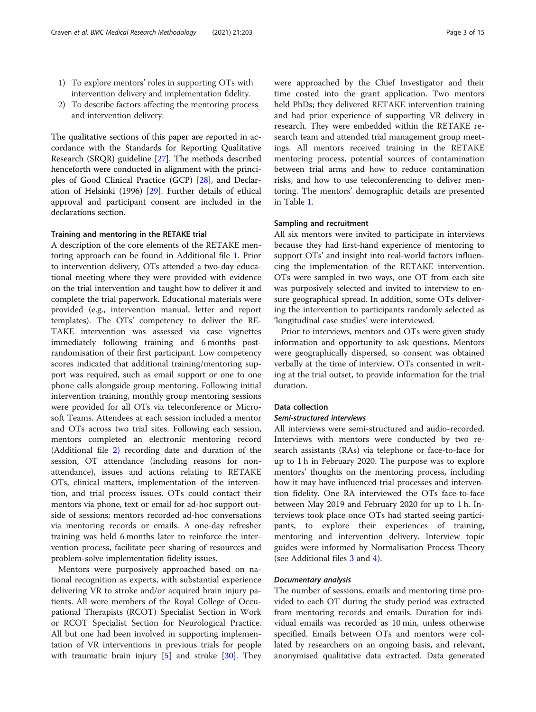- 1) To explore mentors' roles in supporting OTs with intervention delivery and implementation fidelity.
- 2) To describe factors affecting the mentoring process and intervention delivery.

The qualitative sections of this paper are reported in accordance with the Standards for Reporting Qualitative Research (SRQR) guideline [[27\]](#page-14-0). The methods described henceforth were conducted in alignment with the principles of Good Clinical Practice (GCP) [[28](#page-14-0)], and Declaration of Helsinki (1996) [\[29\]](#page-14-0). Further details of ethical approval and participant consent are included in the declarations section.

#### Training and mentoring in the RETAKE trial

A description of the core elements of the RETAKE mentoring approach can be found in Additional file [1](#page-13-0). Prior to intervention delivery, OTs attended a two-day educational meeting where they were provided with evidence on the trial intervention and taught how to deliver it and complete the trial paperwork. Educational materials were provided (e.g., intervention manual, letter and report templates). The OTs' competency to deliver the RE-TAKE intervention was assessed via case vignettes immediately following training and 6 months postrandomisation of their first participant. Low competency scores indicated that additional training/mentoring support was required, such as email support or one to one phone calls alongside group mentoring. Following initial intervention training, monthly group mentoring sessions were provided for all OTs via teleconference or Microsoft Teams. Attendees at each session included a mentor and OTs across two trial sites. Following each session, mentors completed an electronic mentoring record (Additional file [2](#page-13-0)) recording date and duration of the session, OT attendance (including reasons for nonattendance), issues and actions relating to RETAKE OTs, clinical matters, implementation of the intervention, and trial process issues. OTs could contact their mentors via phone, text or email for ad-hoc support outside of sessions; mentors recorded ad-hoc conversations via mentoring records or emails. A one-day refresher training was held 6 months later to reinforce the intervention process, facilitate peer sharing of resources and problem-solve implementation fidelity issues.

Mentors were purposively approached based on national recognition as experts, with substantial experience delivering VR to stroke and/or acquired brain injury patients. All were members of the Royal College of Occupational Therapists (RCOT) Specialist Section in Work or RCOT Specialist Section for Neurological Practice. All but one had been involved in supporting implementation of VR interventions in previous trials for people with traumatic brain injury [[5\]](#page-13-0) and stroke [[30](#page-14-0)]. They were approached by the Chief Investigator and their time costed into the grant application. Two mentors held PhDs; they delivered RETAKE intervention training and had prior experience of supporting VR delivery in research. They were embedded within the RETAKE research team and attended trial management group meetings. All mentors received training in the RETAKE mentoring process, potential sources of contamination between trial arms and how to reduce contamination risks, and how to use teleconferencing to deliver mentoring. The mentors' demographic details are presented in Table [1.](#page-3-0)

## Sampling and recruitment

All six mentors were invited to participate in interviews because they had first-hand experience of mentoring to support OTs' and insight into real-world factors influencing the implementation of the RETAKE intervention. OTs were sampled in two ways, one OT from each site was purposively selected and invited to interview to ensure geographical spread. In addition, some OTs delivering the intervention to participants randomly selected as 'longitudinal case studies' were interviewed.

Prior to interviews, mentors and OTs were given study information and opportunity to ask questions. Mentors were geographically dispersed, so consent was obtained verbally at the time of interview. OTs consented in writing at the trial outset, to provide information for the trial duration.

# Data collection

#### Semi-structured interviews

All interviews were semi-structured and audio-recorded. Interviews with mentors were conducted by two research assistants (RAs) via telephone or face-to-face for up to 1 h in February 2020. The purpose was to explore mentors' thoughts on the mentoring process, including how it may have influenced trial processes and intervention fidelity. One RA interviewed the OTs face-to-face between May 2019 and February 2020 for up to 1 h. Interviews took place once OTs had started seeing participants, to explore their experiences of training, mentoring and intervention delivery. Interview topic guides were informed by Normalisation Process Theory (see Additional files [3](#page-13-0) and [4](#page-13-0)).

## Documentary analysis

The number of sessions, emails and mentoring time provided to each OT during the study period was extracted from mentoring records and emails. Duration for individual emails was recorded as 10 min, unless otherwise specified. Emails between OTs and mentors were collated by researchers on an ongoing basis, and relevant, anonymised qualitative data extracted. Data generated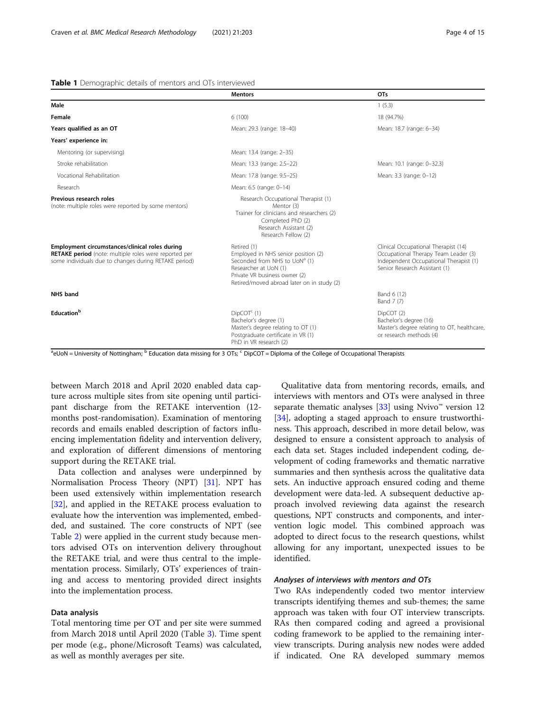# <span id="page-3-0"></span>Table 1 Demographic details of mentors and OTs interviewed

|                                                                                                                                                                  | <b>Mentors</b>                                                                                                                                                                                          | OT <sub>s</sub>                                                                                                                                         |
|------------------------------------------------------------------------------------------------------------------------------------------------------------------|---------------------------------------------------------------------------------------------------------------------------------------------------------------------------------------------------------|---------------------------------------------------------------------------------------------------------------------------------------------------------|
| Male                                                                                                                                                             |                                                                                                                                                                                                         | 1(5.3)                                                                                                                                                  |
| Female                                                                                                                                                           | 6(100)                                                                                                                                                                                                  | 18 (94.7%)                                                                                                                                              |
| Years qualified as an OT                                                                                                                                         | Mean: 29.3 (range: 18-40)                                                                                                                                                                               | Mean: 18.7 (range: 6-34)                                                                                                                                |
| Years' experience in:                                                                                                                                            |                                                                                                                                                                                                         |                                                                                                                                                         |
| Mentoring (or supervising)                                                                                                                                       | Mean: 13.4 (range: 2-35)                                                                                                                                                                                |                                                                                                                                                         |
| Stroke rehabilitation                                                                                                                                            | Mean: 13.3 (range: 2.5-22)                                                                                                                                                                              | Mean: 10.1 (range: 0-32.3)                                                                                                                              |
| Vocational Rehabilitation                                                                                                                                        | Mean: 17.8 (range: 9.5-25)                                                                                                                                                                              | Mean: 3.3 (range: 0-12)                                                                                                                                 |
| Research                                                                                                                                                         | Mean: 6.5 (range: 0-14)                                                                                                                                                                                 |                                                                                                                                                         |
| Previous research roles<br>(note: multiple roles were reported by some mentors)                                                                                  | Research Occupational Therapist (1)<br>Mentor (3)<br>Trainer for clinicians and researchers (2)<br>Completed PhD (2)<br>Research Assistant (2)<br>Research Fellow (2)                                   |                                                                                                                                                         |
| Employment circumstances/clinical roles during<br>RETAKE period (note: multiple roles were reported per<br>some individuals due to changes during RETAKE period) | Retired (1)<br>Employed in NHS senior position (2)<br>Seconded from NHS to UoN <sup>a</sup> (1)<br>Researcher at UoN (1)<br>Private VR business owner (2)<br>Retired/moved abroad later on in study (2) | Clinical Occupational Therapist (14)<br>Occupational Therapy Team Leader (3)<br>Independent Occupational Therapist (1)<br>Senior Research Assistant (1) |
| <b>NHS</b> band                                                                                                                                                  |                                                                                                                                                                                                         | Band 6 (12)<br>Band 7 (7)                                                                                                                               |
| Education <sup>b</sup>                                                                                                                                           | $DipCOTc$ (1)<br>Bachelor's degree (1)<br>Master's degree relating to OT (1)<br>Postgraduate certificate in VR (1)<br>PhD in VR research (2)                                                            | DipCOT (2)<br>Bachelor's degree (16)<br>Master's degree relating to OT, healthcare,<br>or research methods (4)                                          |

eUoN = University of Nottingham;  $\sim$  Education data missing for 3 OTs;  $\sim$  DipCOT = Diploma of the College of Occupational Therapists

between March 2018 and April 2020 enabled data capture across multiple sites from site opening until participant discharge from the RETAKE intervention (12 months post-randomisation). Examination of mentoring records and emails enabled description of factors influencing implementation fidelity and intervention delivery, and exploration of different dimensions of mentoring support during the RETAKE trial.

Data collection and analyses were underpinned by Normalisation Process Theory (NPT) [[31](#page-14-0)]. NPT has been used extensively within implementation research [[32\]](#page-14-0), and applied in the RETAKE process evaluation to evaluate how the intervention was implemented, embedded, and sustained. The core constructs of NPT (see Table [2\)](#page-4-0) were applied in the current study because mentors advised OTs on intervention delivery throughout the RETAKE trial, and were thus central to the implementation process. Similarly, OTs' experiences of training and access to mentoring provided direct insights into the implementation process.

# Data analysis

Total mentoring time per OT and per site were summed from March 2018 until April 2020 (Table [3](#page-4-0)). Time spent per mode (e.g., phone/Microsoft Teams) was calculated, as well as monthly averages per site.

Qualitative data from mentoring records, emails, and interviews with mentors and OTs were analysed in three separate thematic analyses  $[33]$  using Nvivo<sup>™</sup> version 12 [[34\]](#page-14-0), adopting a staged approach to ensure trustworthiness. This approach, described in more detail below, was designed to ensure a consistent approach to analysis of each data set. Stages included independent coding, development of coding frameworks and thematic narrative summaries and then synthesis across the qualitative data sets. An inductive approach ensured coding and theme development were data-led. A subsequent deductive approach involved reviewing data against the research questions, NPT constructs and components, and intervention logic model. This combined approach was adopted to direct focus to the research questions, whilst allowing for any important, unexpected issues to be identified.

## Analyses of interviews with mentors and OTs

Two RAs independently coded two mentor interview transcripts identifying themes and sub-themes; the same approach was taken with four OT interview transcripts. RAs then compared coding and agreed a provisional coding framework to be applied to the remaining interview transcripts. During analysis new nodes were added if indicated. One RA developed summary memos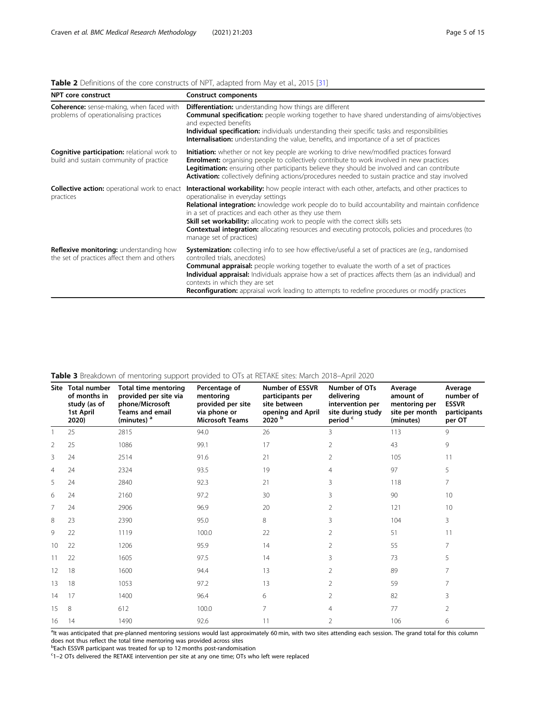# <span id="page-4-0"></span>Table 2 Definitions of the core constructs of NPT, adapted from May et al., 2015 [[31\]](#page-14-0)

| <b>NPT core construct</b>                                                                     | <b>Construct components</b>                                                                                                                                                                                                                                                                                                                                                                                                                                                                                                           |
|-----------------------------------------------------------------------------------------------|---------------------------------------------------------------------------------------------------------------------------------------------------------------------------------------------------------------------------------------------------------------------------------------------------------------------------------------------------------------------------------------------------------------------------------------------------------------------------------------------------------------------------------------|
| <b>Coherence:</b> sense-making, when faced with<br>problems of operationalising practices     | <b>Differentiation:</b> understanding how things are different<br><b>Communal specification:</b> people working together to have shared understanding of aims/objectives<br>and expected benefits<br><b>Individual specification:</b> individuals understanding their specific tasks and responsibilities<br>Internalisation: understanding the value, benefits, and importance of a set of practices                                                                                                                                 |
| <b>Cognitive participation: relational work to</b><br>build and sustain community of practice | Initiation: whether or not key people are working to drive new/modified practices forward<br><b>Enrolment:</b> organising people to collectively contribute to work involved in new practices<br>Legitimation: ensuring other participants believe they should be involved and can contribute<br><b>Activation:</b> collectively defining actions/procedures needed to sustain practice and stay involved                                                                                                                             |
| <b>Collective action:</b> operational work to enact<br>practices                              | Interactional workability: how people interact with each other, artefacts, and other practices to<br>operationalise in everyday settings<br>Relational integration: knowledge work people do to build accountability and maintain confidence<br>in a set of practices and each other as they use them<br><b>Skill set workability:</b> allocating work to people with the correct skills sets<br><b>Contextual integration:</b> allocating resources and executing protocols, policies and procedures (to<br>manage set of practices) |
| Reflexive monitoring: understanding how<br>the set of practices affect them and others        | <b>Systemization:</b> collecting info to see how effective/useful a set of practices are (e.g., randomised<br>controlled trials, anecdotes)<br><b>Communal appraisal:</b> people working together to evaluate the worth of a set of practices<br><b>Individual appraisal:</b> Individuals appraise how a set of practices affects them (as an individual) and<br>contexts in which they are set<br>Reconfiguration: appraisal work leading to attempts to redefine procedures or modify practices                                     |

|                | Site Total number<br>of months in<br>study (as of<br>1st April<br>2020) | <b>Total time mentoring</b><br>provided per site via<br>phone/Microsoft<br><b>Teams and email</b><br>(minutes) <sup>a</sup> | Percentage of<br>mentoring<br>provided per site<br>via phone or<br><b>Microsoft Teams</b> | <b>Number of ESSVR</b><br>participants per<br>site between<br>opening and April<br>2020 <sup>b</sup> | Number of OTs<br>delivering<br>intervention per<br>site during study<br>period c | Average<br>amount of<br>mentoring per<br>site per month<br>(minutes) | Average<br>number of<br><b>ESSVR</b><br>participants<br>per OT |
|----------------|-------------------------------------------------------------------------|-----------------------------------------------------------------------------------------------------------------------------|-------------------------------------------------------------------------------------------|------------------------------------------------------------------------------------------------------|----------------------------------------------------------------------------------|----------------------------------------------------------------------|----------------------------------------------------------------|
|                | 25                                                                      | 2815                                                                                                                        | 94.0                                                                                      | 26                                                                                                   | 3                                                                                | 113                                                                  | 9                                                              |
| 2              | 25                                                                      | 1086                                                                                                                        | 99.1                                                                                      | 17                                                                                                   | $\overline{2}$                                                                   | 43                                                                   | 9                                                              |
| 3              | 24                                                                      | 2514                                                                                                                        | 91.6                                                                                      | 21                                                                                                   | 2                                                                                | 105                                                                  | 11                                                             |
| $\overline{4}$ | 24                                                                      | 2324                                                                                                                        | 93.5                                                                                      | 19                                                                                                   | $\overline{4}$                                                                   | 97                                                                   | 5                                                              |
| 5              | 24                                                                      | 2840                                                                                                                        | 92.3                                                                                      | 21                                                                                                   | 3                                                                                | 118                                                                  | 7                                                              |
| 6              | 24                                                                      | 2160                                                                                                                        | 97.2                                                                                      | 30                                                                                                   | 3                                                                                | 90                                                                   | 10                                                             |
| 7              | 24                                                                      | 2906                                                                                                                        | 96.9                                                                                      | 20                                                                                                   | 2                                                                                | 121                                                                  | 10                                                             |
| 8              | 23                                                                      | 2390                                                                                                                        | 95.0                                                                                      | 8                                                                                                    | 3                                                                                | 104                                                                  | 3                                                              |
| 9              | 22                                                                      | 1119                                                                                                                        | 100.0                                                                                     | 22                                                                                                   | $\overline{2}$                                                                   | 51                                                                   | 11                                                             |
| 10             | 22                                                                      | 1206                                                                                                                        | 95.9                                                                                      | 14                                                                                                   | 2                                                                                | 55                                                                   | 7                                                              |
| 11             | 22                                                                      | 1605                                                                                                                        | 97.5                                                                                      | 14                                                                                                   | 3                                                                                | 73                                                                   | 5                                                              |
| 12             | 18                                                                      | 1600                                                                                                                        | 94.4                                                                                      | 13                                                                                                   | 2                                                                                | 89                                                                   | 7                                                              |
| 13             | 18                                                                      | 1053                                                                                                                        | 97.2                                                                                      | 13                                                                                                   | 2                                                                                | 59                                                                   | 7                                                              |
| 14             | 17                                                                      | 1400                                                                                                                        | 96.4                                                                                      | 6                                                                                                    | 2                                                                                | 82                                                                   | 3                                                              |
| 15             | 8                                                                       | 612                                                                                                                         | 100.0                                                                                     | 7                                                                                                    | $\overline{4}$                                                                   | 77                                                                   | $\overline{2}$                                                 |
| 16             | 14                                                                      | 1490                                                                                                                        | 92.6                                                                                      | 11                                                                                                   | 2                                                                                | 106                                                                  | 6                                                              |

# Table 3 Breakdown of mentoring support provided to OTs at RETAKE sites: March 2018–April 2020

<sup>a</sup>lt was anticipated that pre-planned mentoring sessions would last approximately 60 min, with two sites attending each session. The grand total for this column does not thus reflect the total time mentoring was provided across sites<br><sup>b</sup>Each ESSVR participant was treated for up to 12 months post-randomisation

c 1–2 OTs delivered the RETAKE intervention per site at any one time; OTs who left were replaced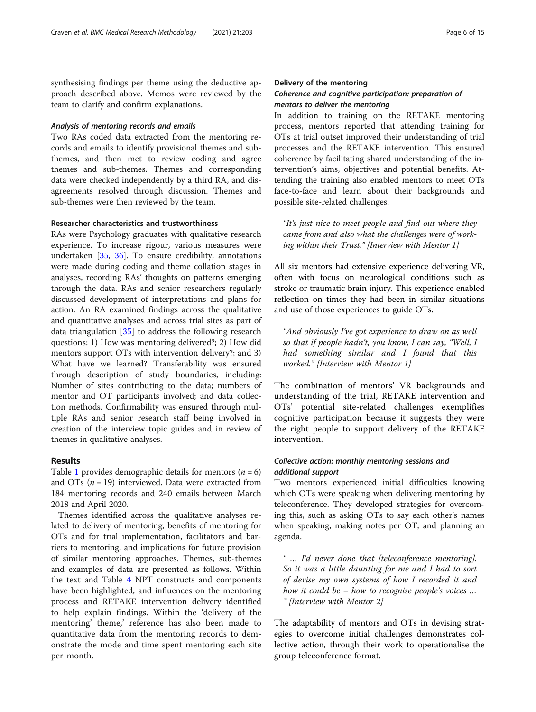synthesising findings per theme using the deductive approach described above. Memos were reviewed by the team to clarify and confirm explanations.

# Analysis of mentoring records and emails

Two RAs coded data extracted from the mentoring records and emails to identify provisional themes and subthemes, and then met to review coding and agree themes and sub-themes. Themes and corresponding data were checked independently by a third RA, and disagreements resolved through discussion. Themes and sub-themes were then reviewed by the team.

#### Researcher characteristics and trustworthiness

RAs were Psychology graduates with qualitative research experience. To increase rigour, various measures were undertaken [[35,](#page-14-0) [36](#page-14-0)]. To ensure credibility, annotations were made during coding and theme collation stages in analyses, recording RAs' thoughts on patterns emerging through the data. RAs and senior researchers regularly discussed development of interpretations and plans for action. An RA examined findings across the qualitative and quantitative analyses and across trial sites as part of data triangulation  $\left[35\right]$  $\left[35\right]$  $\left[35\right]$  to address the following research questions: 1) How was mentoring delivered?; 2) How did mentors support OTs with intervention delivery?; and 3) What have we learned? Transferability was ensured through description of study boundaries, including: Number of sites contributing to the data; numbers of mentor and OT participants involved; and data collection methods. Confirmability was ensured through multiple RAs and senior research staff being involved in creation of the interview topic guides and in review of themes in qualitative analyses.

# Results

Table [1](#page-3-0) provides demographic details for mentors ( $n = 6$ ) and OTs ( $n = 19$ ) interviewed. Data were extracted from 184 mentoring records and 240 emails between March 2018 and April 2020.

Themes identified across the qualitative analyses related to delivery of mentoring, benefits of mentoring for OTs and for trial implementation, facilitators and barriers to mentoring, and implications for future provision of similar mentoring approaches. Themes, sub-themes and examples of data are presented as follows. Within the text and Table [4](#page-6-0) NPT constructs and components have been highlighted, and influences on the mentoring process and RETAKE intervention delivery identified to help explain findings. Within the 'delivery of the mentoring' theme,' reference has also been made to quantitative data from the mentoring records to demonstrate the mode and time spent mentoring each site per month.

## Delivery of the mentoring

# Coherence and cognitive participation: preparation of mentors to deliver the mentoring

In addition to training on the RETAKE mentoring process, mentors reported that attending training for OTs at trial outset improved their understanding of trial processes and the RETAKE intervention. This ensured coherence by facilitating shared understanding of the intervention's aims, objectives and potential benefits. Attending the training also enabled mentors to meet OTs face-to-face and learn about their backgrounds and possible site-related challenges.

"It's just nice to meet people and find out where they came from and also what the challenges were of working within their Trust." [Interview with Mentor 1]

All six mentors had extensive experience delivering VR, often with focus on neurological conditions such as stroke or traumatic brain injury. This experience enabled reflection on times they had been in similar situations and use of those experiences to guide OTs.

"And obviously I've got experience to draw on as well so that if people hadn't, you know, I can say, "Well, I had something similar and I found that this worked." [Interview with Mentor 1]

The combination of mentors' VR backgrounds and understanding of the trial, RETAKE intervention and OTs' potential site-related challenges exemplifies cognitive participation because it suggests they were the right people to support delivery of the RETAKE intervention.

# Collective action: monthly mentoring sessions and additional support

Two mentors experienced initial difficulties knowing which OTs were speaking when delivering mentoring by teleconference. They developed strategies for overcoming this, such as asking OTs to say each other's names when speaking, making notes per OT, and planning an agenda.

" … I'd never done that [teleconference mentoring]. So it was a little daunting for me and I had to sort of devise my own systems of how I recorded it and how it could be – how to recognise people's voices … " [Interview with Mentor 2]

The adaptability of mentors and OTs in devising strategies to overcome initial challenges demonstrates collective action, through their work to operationalise the group teleconference format.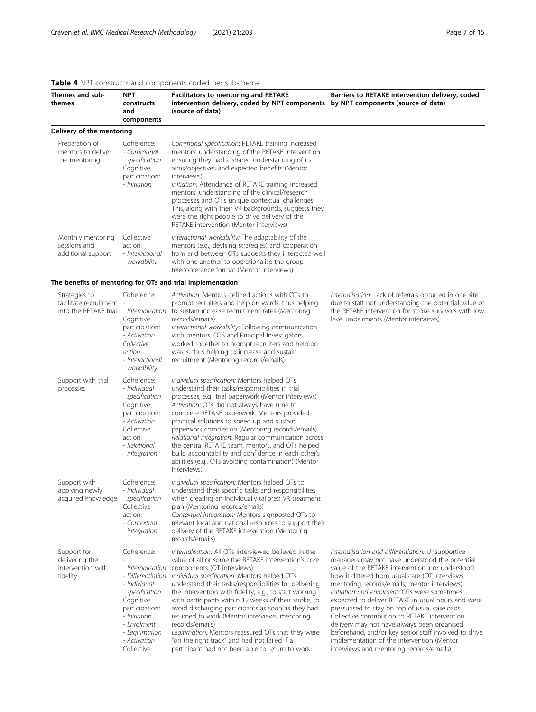| Themes and sub-<br>themes                                          | <b>NPT</b><br>constructs<br>and<br>components                                                                                                                                                     | <b>Facilitators to mentoring and RETAKE</b><br>intervention delivery, coded by NPT components by NPT components (source of data)<br>(source of data)                                                                                                                                                                                                                                                                                                                                                                                                                                                                                                       | Barriers to RETAKE intervention delivery, coded                                                                                                                                                                                                                                                                                                                                                                                                                                                                                                                                                                                                                        |
|--------------------------------------------------------------------|---------------------------------------------------------------------------------------------------------------------------------------------------------------------------------------------------|------------------------------------------------------------------------------------------------------------------------------------------------------------------------------------------------------------------------------------------------------------------------------------------------------------------------------------------------------------------------------------------------------------------------------------------------------------------------------------------------------------------------------------------------------------------------------------------------------------------------------------------------------------|------------------------------------------------------------------------------------------------------------------------------------------------------------------------------------------------------------------------------------------------------------------------------------------------------------------------------------------------------------------------------------------------------------------------------------------------------------------------------------------------------------------------------------------------------------------------------------------------------------------------------------------------------------------------|
| Delivery of the mentoring                                          |                                                                                                                                                                                                   |                                                                                                                                                                                                                                                                                                                                                                                                                                                                                                                                                                                                                                                            |                                                                                                                                                                                                                                                                                                                                                                                                                                                                                                                                                                                                                                                                        |
| Preparation of<br>mentors to deliver<br>the mentoring              | Coherence:<br>- Communal<br>specification<br>Cognitive<br>participation:<br>- Initiation                                                                                                          | Communal specification: RETAKE training increased<br>mentors' understanding of the RETAKE intervention,<br>ensuring they had a shared understanding of its<br>aims/objectives and expected benefits (Mentor<br>interviews)<br>Initiation: Attendance of RETAKE training increased<br>mentors' understanding of the clinical/research<br>processes and OT's unique contextual challenges.<br>This, along with their VR backgrounds, suggests they<br>were the right people to drive delivery of the<br>RETAKE intervention (Mentor interviews)                                                                                                              |                                                                                                                                                                                                                                                                                                                                                                                                                                                                                                                                                                                                                                                                        |
| Monthly mentoring<br>sessions and<br>additional support            | Collective<br>action:<br>- Interactional<br>workability                                                                                                                                           | Interactional workability: The adaptability of the<br>mentors (e.g., devising strategies) and cooperation<br>from and between OTs suggests they interacted well<br>with one another to operationalise the group<br>teleconference format (Mentor interviews)                                                                                                                                                                                                                                                                                                                                                                                               |                                                                                                                                                                                                                                                                                                                                                                                                                                                                                                                                                                                                                                                                        |
|                                                                    |                                                                                                                                                                                                   | The benefits of mentoring for OTs and trial implementation                                                                                                                                                                                                                                                                                                                                                                                                                                                                                                                                                                                                 |                                                                                                                                                                                                                                                                                                                                                                                                                                                                                                                                                                                                                                                                        |
| Strategies to<br>facilitate recruitment -<br>into the RETAKE trial | Coherence:<br>Internalisation<br>Cognitive<br>participation:<br>- Activation<br>Collective<br>action:<br>- Interactional<br>workability                                                           | Activation: Mentors defined actions with OTs to<br>prompt recruiters and help on wards, thus helping<br>to sustain increase recruitment rates (Mentoring<br>records/emails)<br>Interactional workability: Following communication<br>with mentors, OTS and Principal Investigators<br>worked together to prompt recruiters and help on<br>wards, thus helping to increase and sustain<br>recruitment (Mentoring records/emails)                                                                                                                                                                                                                            | Internalisation: Lack of referrals occurred in one site<br>due to staff not understanding the potential value of<br>the RETAKE intervention for stroke survivors with low<br>level impairments (Mentor interviews)                                                                                                                                                                                                                                                                                                                                                                                                                                                     |
| Support with trial<br>processes                                    | Coherence:<br>- Individual<br>specification<br>Cognitive<br>participation:<br>- Activation<br>Collective<br>action:<br>- Relational<br>integration                                                | Individual specification: Mentors helped OTs<br>understand their tasks/responsibilities in trial<br>processes, e.g., trial paperwork (Mentor interviews)<br>Activation: OTs did not always have time to<br>complete RETAKE paperwork. Mentors provided<br>practical solutions to speed up and sustain<br>paperwork completion (Mentoring records/emails)<br>Relational integration: Regular communication across<br>the central RETAKE team, mentors, and OTs helped<br>build accountability and confidence in each other's<br>abilities (e.g., OTs avoiding contamination) (Mentor<br>interviews)                                                         |                                                                                                                                                                                                                                                                                                                                                                                                                                                                                                                                                                                                                                                                        |
| Support with<br>applying newly<br>acquired knowledge               | Coherence:<br>- Individual<br>specification<br>Collective<br>action:<br>- Contextual<br>integration                                                                                               | Individual specification: Mentors helped OTs to<br>understand their specific tasks and responsibilities<br>when creating an individually tailored VR treatment<br>plan (Mentoring records/emails)<br>Contextual integration: Mentors signposted OTs to<br>relevant local and national resources to support their<br>delivery of the RETAKE intervention (Mentoring<br>records/emails)                                                                                                                                                                                                                                                                      |                                                                                                                                                                                                                                                                                                                                                                                                                                                                                                                                                                                                                                                                        |
| Support for<br>delivering the<br>intervention with<br>fidelity     | Coherence:<br>Internalisation<br>- Differentiation<br>- Individual<br>specification<br>Cognitive<br>participation:<br>- Initiation<br>- Enrolment<br>- Legitimation<br>- Activation<br>Collective | Internalisation: All OTs interviewed believed in the<br>value of all or some the RETAKE intervention's core<br>components (OT interviews)<br>Individual specification: Mentors helped OTs<br>understand their tasks/responsibilities for delivering<br>the intervention with fidelity, e.g., to start working<br>with participants within 12 weeks of their stroke, to<br>avoid discharging participants as soon as they had<br>returned to work (Mentor interviews, mentoring<br>records/emails)<br>Legitimation: Mentors reassured OTs that they were<br>"on the right track" and had not failed if a<br>participant had not been able to return to work | Internalisation and differentiation: Unsupportive<br>managers may not have understood the potential<br>value of the RETAKE intervention, nor understood<br>how it differed from usual care (OT interviews,<br>mentoring records/emails, mentor interviews)<br>Initiation and enrolment: OTs were sometimes<br>expected to deliver RETAKE in usual hours and were<br>pressurised to stay on top of usual caseloads.<br>Collective contribution to RETAKE intervention<br>delivery may not have always been organised<br>beforehand, and/or key senior staff involved to drive<br>implementation of the intervention (Mentor<br>interviews and mentoring records/emails) |

# <span id="page-6-0"></span>Table 4 NPT constructs and components coded per sub-theme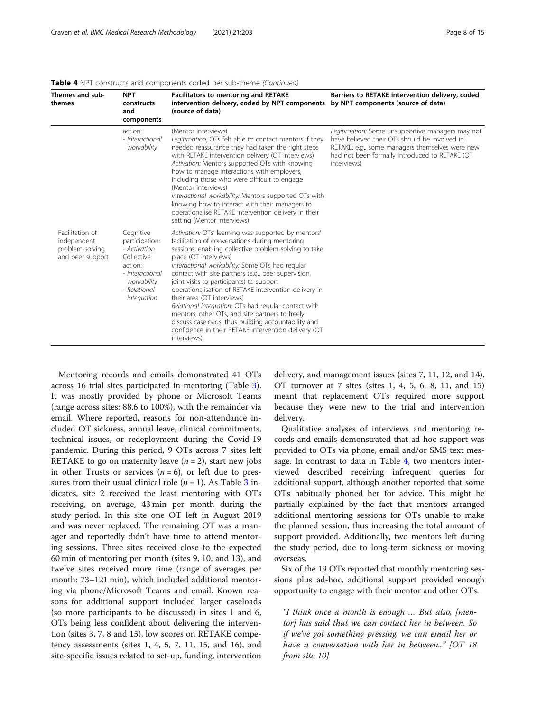| Themes and sub-<br>themes                                             | <b>NPT</b><br>constructs<br>and<br>components                                                                                         | <b>Facilitators to mentoring and RETAKE</b><br>intervention delivery, coded by NPT components<br>(source of data)                                                                                                                                                                                                                                                                                                                                                                                                                                                                                                                                                             | Barriers to RETAKE intervention delivery, coded<br>by NPT components (source of data)                                                                                                                                 |
|-----------------------------------------------------------------------|---------------------------------------------------------------------------------------------------------------------------------------|-------------------------------------------------------------------------------------------------------------------------------------------------------------------------------------------------------------------------------------------------------------------------------------------------------------------------------------------------------------------------------------------------------------------------------------------------------------------------------------------------------------------------------------------------------------------------------------------------------------------------------------------------------------------------------|-----------------------------------------------------------------------------------------------------------------------------------------------------------------------------------------------------------------------|
|                                                                       | action:<br>- Interactional<br>workability                                                                                             | (Mentor interviews)<br>Legitimation: OTs felt able to contact mentors if they<br>needed reassurance they had taken the right steps<br>with RETAKE intervention delivery (OT interviews)<br>Activation: Mentors supported OTs with knowing<br>how to manage interactions with employers,<br>including those who were difficult to engage<br>(Mentor interviews)<br>Interactional workability: Mentors supported OTs with<br>knowing how to interact with their managers to<br>operationalise RETAKE intervention delivery in their<br>setting (Mentor interviews)                                                                                                              | Legitimation: Some unsupportive managers may not<br>have believed their OTs should be involved in<br>RETAKE, e.g., some managers themselves were new<br>had not been formally introduced to RETAKE (OT<br>interviews) |
| Facilitation of<br>independent<br>problem-solving<br>and peer support | Cognitive<br>participation:<br>- Activation<br>Collective<br>action:<br>- Interactional<br>workability<br>- Relational<br>integration | Activation: OTs' learning was supported by mentors'<br>facilitation of conversations during mentoring<br>sessions, enabling collective problem-solving to take<br>place (OT interviews)<br>Interactional workability: Some OTs had regular<br>contact with site partners (e.g., peer supervision,<br>joint visits to participants) to support<br>operationalisation of RETAKE intervention delivery in<br>their area (OT interviews)<br>Relational integration: OTs had regular contact with<br>mentors, other OTs, and site partners to freely<br>discuss caseloads, thus building accountability and<br>confidence in their RETAKE intervention delivery (OT<br>interviews) |                                                                                                                                                                                                                       |

Table 4 NPT constructs and components coded per sub-theme (Continued)

Mentoring records and emails demonstrated 41 OTs across 16 trial sites participated in mentoring (Table [3](#page-4-0)). It was mostly provided by phone or Microsoft Teams (range across sites: 88.6 to 100%), with the remainder via email. Where reported, reasons for non-attendance included OT sickness, annual leave, clinical commitments, technical issues, or redeployment during the Covid-19 pandemic. During this period, 9 OTs across 7 sites left RETAKE to go on maternity leave  $(n = 2)$ , start new jobs in other Trusts or services  $(n = 6)$ , or left due to pressures from their usual clinical role ( $n = 1$ ). As Table [3](#page-4-0) indicates, site 2 received the least mentoring with OTs receiving, on average, 43 min per month during the study period. In this site one OT left in August 2019 and was never replaced. The remaining OT was a manager and reportedly didn't have time to attend mentoring sessions. Three sites received close to the expected 60 min of mentoring per month (sites 9, 10, and 13), and twelve sites received more time (range of averages per month: 73–121 min), which included additional mentoring via phone/Microsoft Teams and email. Known reasons for additional support included larger caseloads (so more participants to be discussed) in sites 1 and 6, OTs being less confident about delivering the intervention (sites 3, 7, 8 and 15), low scores on RETAKE competency assessments (sites 1, 4, 5, 7, 11, 15, and 16), and site-specific issues related to set-up, funding, intervention

delivery, and management issues (sites 7, 11, 12, and 14). OT turnover at 7 sites (sites 1, 4, 5, 6, 8, 11, and 15) meant that replacement OTs required more support because they were new to the trial and intervention delivery.

Qualitative analyses of interviews and mentoring records and emails demonstrated that ad-hoc support was provided to OTs via phone, email and/or SMS text message. In contrast to data in Table [4,](#page-6-0) two mentors interviewed described receiving infrequent queries for additional support, although another reported that some OTs habitually phoned her for advice. This might be partially explained by the fact that mentors arranged additional mentoring sessions for OTs unable to make the planned session, thus increasing the total amount of support provided. Additionally, two mentors left during the study period, due to long-term sickness or moving overseas.

Six of the 19 OTs reported that monthly mentoring sessions plus ad-hoc, additional support provided enough opportunity to engage with their mentor and other OTs.

"I think once a month is enough … But also, [mentor] has said that we can contact her in between. So if we've got something pressing, we can email her or have a conversation with her in between.." [OT 18 from site 10]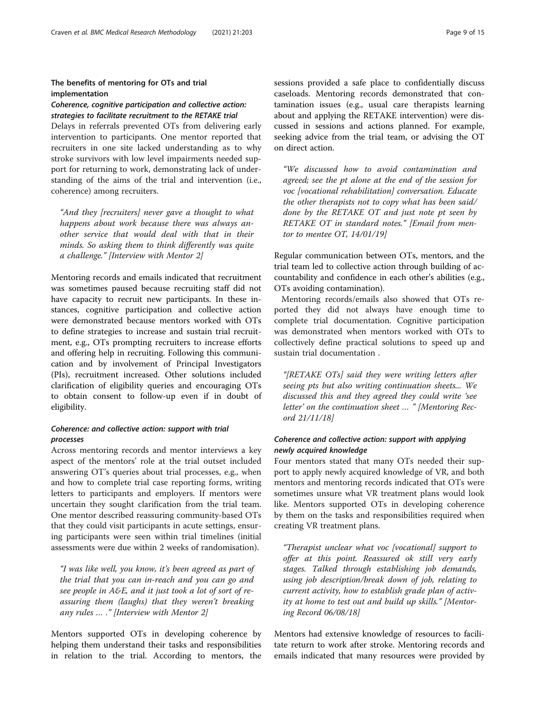# The benefits of mentoring for OTs and trial implementation

# Coherence, cognitive participation and collective action: strategies to facilitate recruitment to the RETAKE trial

Delays in referrals prevented OTs from delivering early intervention to participants. One mentor reported that recruiters in one site lacked understanding as to why stroke survivors with low level impairments needed support for returning to work, demonstrating lack of understanding of the aims of the trial and intervention (i.e., coherence) among recruiters.

"And they [recruiters] never gave a thought to what happens about work because there was always another service that would deal with that in their minds. So asking them to think differently was quite a challenge." [Interview with Mentor 2]

Mentoring records and emails indicated that recruitment was sometimes paused because recruiting staff did not have capacity to recruit new participants. In these instances, cognitive participation and collective action were demonstrated because mentors worked with OTs to define strategies to increase and sustain trial recruitment, e.g., OTs prompting recruiters to increase efforts and offering help in recruiting. Following this communication and by involvement of Principal Investigators (PIs), recruitment increased. Other solutions included clarification of eligibility queries and encouraging OTs to obtain consent to follow-up even if in doubt of eligibility.

# Coherence: and collective action: support with trial processes

Across mentoring records and mentor interviews a key aspect of the mentors' role at the trial outset included answering OT's queries about trial processes, e.g., when and how to complete trial case reporting forms, writing letters to participants and employers. If mentors were uncertain they sought clarification from the trial team. One mentor described reassuring community-based OTs that they could visit participants in acute settings, ensuring participants were seen within trial timelines (initial assessments were due within 2 weeks of randomisation).

"I was like well, you know, it's been agreed as part of the trial that you can in-reach and you can go and see people in A&E, and it just took a lot of sort of reassuring them (laughs) that they weren't breaking any rules … ." [Interview with Mentor 2]

Mentors supported OTs in developing coherence by helping them understand their tasks and responsibilities in relation to the trial. According to mentors, the sessions provided a safe place to confidentially discuss caseloads. Mentoring records demonstrated that contamination issues (e.g., usual care therapists learning about and applying the RETAKE intervention) were discussed in sessions and actions planned. For example, seeking advice from the trial team, or advising the OT on direct action.

"We discussed how to avoid contamination and agreed; see the pt alone at the end of the session for voc [vocational rehabilitation] conversation. Educate the other therapists not to copy what has been said/ done by the RETAKE OT and just note pt seen by RETAKE OT in standard notes." [Email from mentor to mentee OT, 14/01/19]

Regular communication between OTs, mentors, and the trial team led to collective action through building of accountability and confidence in each other's abilities (e.g., OTs avoiding contamination).

Mentoring records/emails also showed that OTs reported they did not always have enough time to complete trial documentation. Cognitive participation was demonstrated when mentors worked with OTs to collectively define practical solutions to speed up and sustain trial documentation .

"[RETAKE OTs] said they were writing letters after seeing pts but also writing continuation sheets... We discussed this and they agreed they could write 'see letter' on the continuation sheet … " [Mentoring Record 21/11/18]

# Coherence and collective action: support with applying newly acquired knowledge

Four mentors stated that many OTs needed their support to apply newly acquired knowledge of VR, and both mentors and mentoring records indicated that OTs were sometimes unsure what VR treatment plans would look like. Mentors supported OTs in developing coherence by them on the tasks and responsibilities required when creating VR treatment plans.

"Therapist unclear what voc [vocational] support to offer at this point. Reassured ok still very early stages. Talked through establishing job demands, using job description/break down of job, relating to current activity, how to establish grade plan of activity at home to test out and build up skills." [Mentoring Record 06/08/18]

Mentors had extensive knowledge of resources to facilitate return to work after stroke. Mentoring records and emails indicated that many resources were provided by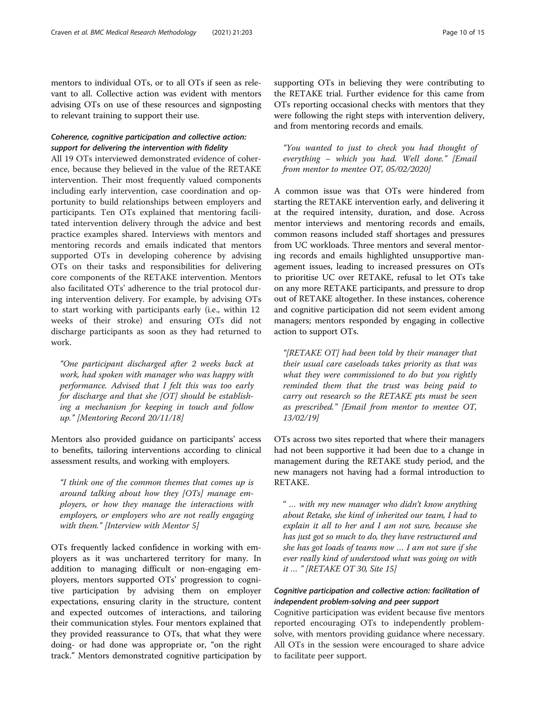mentors to individual OTs, or to all OTs if seen as relevant to all. Collective action was evident with mentors advising OTs on use of these resources and signposting to relevant training to support their use.

# Coherence, cognitive participation and collective action: support for delivering the intervention with fidelity

All 19 OTs interviewed demonstrated evidence of coherence, because they believed in the value of the RETAKE intervention. Their most frequently valued components including early intervention, case coordination and opportunity to build relationships between employers and participants. Ten OTs explained that mentoring facilitated intervention delivery through the advice and best practice examples shared. Interviews with mentors and mentoring records and emails indicated that mentors supported OTs in developing coherence by advising OTs on their tasks and responsibilities for delivering core components of the RETAKE intervention. Mentors also facilitated OTs' adherence to the trial protocol during intervention delivery. For example, by advising OTs to start working with participants early (i.e., within 12 weeks of their stroke) and ensuring OTs did not discharge participants as soon as they had returned to work.

"One participant discharged after 2 weeks back at work, had spoken with manager who was happy with performance. Advised that I felt this was too early for discharge and that she [OT] should be establishing a mechanism for keeping in touch and follow up." [Mentoring Record 20/11/18]

Mentors also provided guidance on participants' access to benefits, tailoring interventions according to clinical assessment results, and working with employers.

"I think one of the common themes that comes up is around talking about how they [OTs] manage employers, or how they manage the interactions with employers, or employers who are not really engaging with them." [Interview with Mentor 5]

OTs frequently lacked confidence in working with employers as it was unchartered territory for many. In addition to managing difficult or non-engaging employers, mentors supported OTs' progression to cognitive participation by advising them on employer expectations, ensuring clarity in the structure, content and expected outcomes of interactions, and tailoring their communication styles. Four mentors explained that they provided reassurance to OTs, that what they were doing- or had done was appropriate or, "on the right track." Mentors demonstrated cognitive participation by supporting OTs in believing they were contributing to the RETAKE trial. Further evidence for this came from OTs reporting occasional checks with mentors that they were following the right steps with intervention delivery, and from mentoring records and emails.

"You wanted to just to check you had thought of everything – which you had. Well done." [Email from mentor to mentee OT, 05/02/2020]

A common issue was that OTs were hindered from starting the RETAKE intervention early, and delivering it at the required intensity, duration, and dose. Across mentor interviews and mentoring records and emails, common reasons included staff shortages and pressures from UC workloads. Three mentors and several mentoring records and emails highlighted unsupportive management issues, leading to increased pressures on OTs to prioritise UC over RETAKE, refusal to let OTs take on any more RETAKE participants, and pressure to drop out of RETAKE altogether. In these instances, coherence and cognitive participation did not seem evident among managers; mentors responded by engaging in collective action to support OTs.

"[RETAKE OT] had been told by their manager that their usual care caseloads takes priority as that was what they were commissioned to do but you rightly reminded them that the trust was being paid to carry out research so the RETAKE pts must be seen as prescribed." [Email from mentor to mentee OT, 13/02/19]

OTs across two sites reported that where their managers had not been supportive it had been due to a change in management during the RETAKE study period, and the new managers not having had a formal introduction to RETAKE.

" … with my new manager who didn't know anything about Retake, she kind of inherited our team, I had to explain it all to her and I am not sure, because she has just got so much to do, they have restructured and she has got loads of teams now … I am not sure if she ever really kind of understood what was going on with it … " [RETAKE OT 30, Site 15]

# Cognitive participation and collective action: facilitation of independent problem-solving and peer support

Cognitive participation was evident because five mentors reported encouraging OTs to independently problemsolve, with mentors providing guidance where necessary. All OTs in the session were encouraged to share advice to facilitate peer support.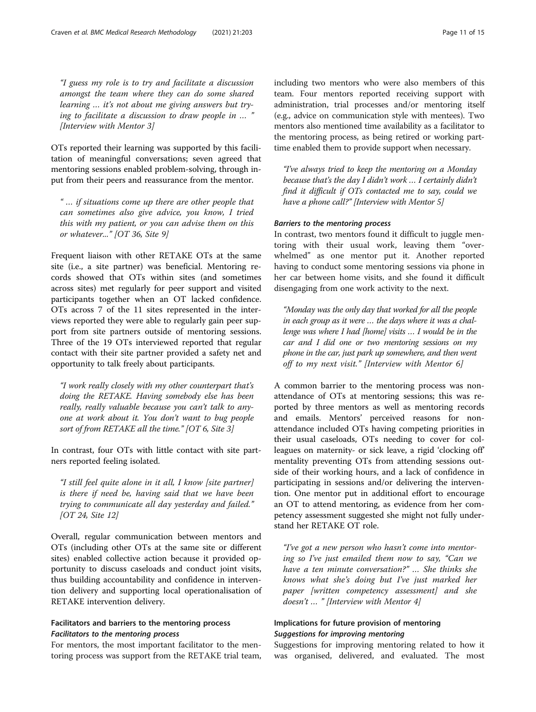"I guess my role is to try and facilitate a discussion amongst the team where they can do some shared learning … it's not about me giving answers but trying to facilitate a discussion to draw people in … " [Interview with Mentor 3]

OTs reported their learning was supported by this facilitation of meaningful conversations; seven agreed that mentoring sessions enabled problem-solving, through input from their peers and reassurance from the mentor.

" … if situations come up there are other people that can sometimes also give advice, you know, I tried this with my patient, or you can advise them on this or whatever..." [OT 36, Site 9]

Frequent liaison with other RETAKE OTs at the same site (i.e., a site partner) was beneficial. Mentoring records showed that OTs within sites (and sometimes across sites) met regularly for peer support and visited participants together when an OT lacked confidence. OTs across 7 of the 11 sites represented in the interviews reported they were able to regularly gain peer support from site partners outside of mentoring sessions. Three of the 19 OTs interviewed reported that regular contact with their site partner provided a safety net and opportunity to talk freely about participants.

"I work really closely with my other counterpart that's doing the RETAKE. Having somebody else has been really, really valuable because you can't talk to anyone at work about it. You don't want to bug people sort of from RETAKE all the time." [OT 6, Site 3]

In contrast, four OTs with little contact with site partners reported feeling isolated.

"I still feel quite alone in it all, I know [site partner] is there if need be, having said that we have been trying to communicate all day yesterday and failed." [OT 24, Site 12]

Overall, regular communication between mentors and OTs (including other OTs at the same site or different sites) enabled collective action because it provided opportunity to discuss caseloads and conduct joint visits, thus building accountability and confidence in intervention delivery and supporting local operationalisation of RETAKE intervention delivery.

# Facilitators and barriers to the mentoring process Facilitators to the mentoring process

For mentors, the most important facilitator to the mentoring process was support from the RETAKE trial team, including two mentors who were also members of this team. Four mentors reported receiving support with administration, trial processes and/or mentoring itself (e.g., advice on communication style with mentees). Two mentors also mentioned time availability as a facilitator to the mentoring process, as being retired or working parttime enabled them to provide support when necessary.

"I've always tried to keep the mentoring on a Monday because that's the day I didn't work … I certainly didn't find it difficult if OTs contacted me to say, could we have a phone call?" [Interview with Mentor 5]

# Barriers to the mentoring process

In contrast, two mentors found it difficult to juggle mentoring with their usual work, leaving them "overwhelmed" as one mentor put it. Another reported having to conduct some mentoring sessions via phone in her car between home visits, and she found it difficult disengaging from one work activity to the next.

"Monday was the only day that worked for all the people in each group as it were … the days where it was a challenge was where I had [home] visits … I would be in the car and I did one or two mentoring sessions on my phone in the car, just park up somewhere, and then went off to my next visit." [Interview with Mentor 6]

A common barrier to the mentoring process was nonattendance of OTs at mentoring sessions; this was reported by three mentors as well as mentoring records and emails. Mentors' perceived reasons for nonattendance included OTs having competing priorities in their usual caseloads, OTs needing to cover for colleagues on maternity- or sick leave, a rigid 'clocking off' mentality preventing OTs from attending sessions outside of their working hours, and a lack of confidence in participating in sessions and/or delivering the intervention. One mentor put in additional effort to encourage an OT to attend mentoring, as evidence from her competency assessment suggested she might not fully understand her RETAKE OT role.

"I've got a new person who hasn't come into mentoring so I've just emailed them now to say, "Can we have a ten minute conversation?" … She thinks she knows what she's doing but I've just marked her paper [written competency assessment] and she doesn't … " [Interview with Mentor 4]

# Implications for future provision of mentoring Suggestions for improving mentoring

Suggestions for improving mentoring related to how it was organised, delivered, and evaluated. The most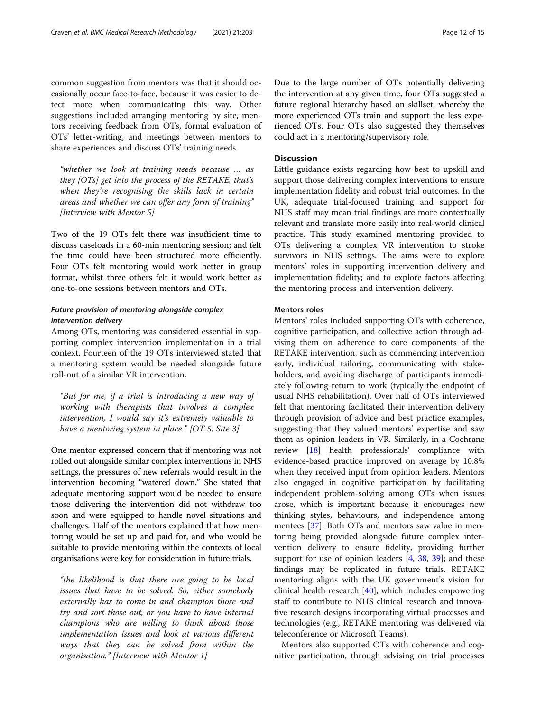common suggestion from mentors was that it should occasionally occur face-to-face, because it was easier to detect more when communicating this way. Other suggestions included arranging mentoring by site, mentors receiving feedback from OTs, formal evaluation of OTs' letter-writing, and meetings between mentors to share experiences and discuss OTs' training needs.

"whether we look at training needs because … as they [OTs] get into the process of the RETAKE, that's when they're recognising the skills lack in certain areas and whether we can offer any form of training" [Interview with Mentor 5]

Two of the 19 OTs felt there was insufficient time to discuss caseloads in a 60-min mentoring session; and felt the time could have been structured more efficiently. Four OTs felt mentoring would work better in group format, whilst three others felt it would work better as one-to-one sessions between mentors and OTs.

# Future provision of mentoring alongside complex intervention delivery

Among OTs, mentoring was considered essential in supporting complex intervention implementation in a trial context. Fourteen of the 19 OTs interviewed stated that a mentoring system would be needed alongside future roll-out of a similar VR intervention.

"But for me, if a trial is introducing a new way of working with therapists that involves a complex intervention, I would say it's extremely valuable to have a mentoring system in place." [OT 5, Site 3]

One mentor expressed concern that if mentoring was not rolled out alongside similar complex interventions in NHS settings, the pressures of new referrals would result in the intervention becoming "watered down." She stated that adequate mentoring support would be needed to ensure those delivering the intervention did not withdraw too soon and were equipped to handle novel situations and challenges. Half of the mentors explained that how mentoring would be set up and paid for, and who would be suitable to provide mentoring within the contexts of local organisations were key for consideration in future trials.

"the likelihood is that there are going to be local issues that have to be solved. So, either somebody externally has to come in and champion those and try and sort those out, or you have to have internal champions who are willing to think about those implementation issues and look at various different ways that they can be solved from within the organisation." [Interview with Mentor 1]

Due to the large number of OTs potentially delivering the intervention at any given time, four OTs suggested a future regional hierarchy based on skillset, whereby the more experienced OTs train and support the less experienced OTs. Four OTs also suggested they themselves could act in a mentoring/supervisory role.

# **Discussion**

Little guidance exists regarding how best to upskill and support those delivering complex interventions to ensure implementation fidelity and robust trial outcomes. In the UK, adequate trial-focused training and support for NHS staff may mean trial findings are more contextually relevant and translate more easily into real-world clinical practice. This study examined mentoring provided to OTs delivering a complex VR intervention to stroke survivors in NHS settings. The aims were to explore mentors' roles in supporting intervention delivery and implementation fidelity; and to explore factors affecting the mentoring process and intervention delivery.

## Mentors roles

Mentors' roles included supporting OTs with coherence, cognitive participation, and collective action through advising them on adherence to core components of the RETAKE intervention, such as commencing intervention early, individual tailoring, communicating with stakeholders, and avoiding discharge of participants immediately following return to work (typically the endpoint of usual NHS rehabilitation). Over half of OTs interviewed felt that mentoring facilitated their intervention delivery through provision of advice and best practice examples, suggesting that they valued mentors' expertise and saw them as opinion leaders in VR. Similarly, in a Cochrane review [[18](#page-14-0)] health professionals' compliance with evidence-based practice improved on average by 10.8% when they received input from opinion leaders. Mentors also engaged in cognitive participation by facilitating independent problem-solving among OTs when issues arose, which is important because it encourages new thinking styles, behaviours, and independence among mentees [[37\]](#page-14-0). Both OTs and mentors saw value in mentoring being provided alongside future complex intervention delivery to ensure fidelity, providing further support for use of opinion leaders [[4,](#page-13-0) [38](#page-14-0), [39\]](#page-14-0); and these findings may be replicated in future trials. RETAKE mentoring aligns with the UK government's vision for clinical health research [\[40](#page-14-0)], which includes empowering staff to contribute to NHS clinical research and innovative research designs incorporating virtual processes and technologies (e.g., RETAKE mentoring was delivered via teleconference or Microsoft Teams).

Mentors also supported OTs with coherence and cognitive participation, through advising on trial processes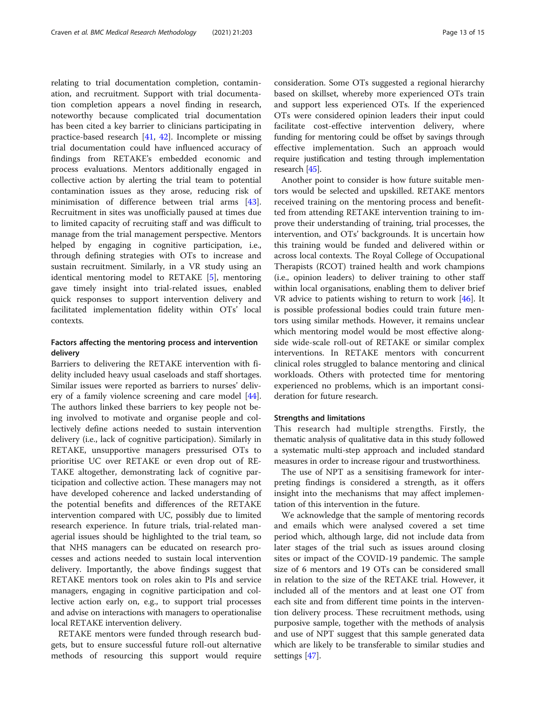relating to trial documentation completion, contamination, and recruitment. Support with trial documentation completion appears a novel finding in research, noteworthy because complicated trial documentation has been cited a key barrier to clinicians participating in practice-based research [[41,](#page-14-0) [42\]](#page-14-0). Incomplete or missing trial documentation could have influenced accuracy of findings from RETAKE's embedded economic and process evaluations. Mentors additionally engaged in collective action by alerting the trial team to potential contamination issues as they arose, reducing risk of minimisation of difference between trial arms [\[43](#page-14-0)]. Recruitment in sites was unofficially paused at times due to limited capacity of recruiting staff and was difficult to manage from the trial management perspective. Mentors helped by engaging in cognitive participation, i.e., through defining strategies with OTs to increase and sustain recruitment. Similarly, in a VR study using an identical mentoring model to RETAKE [[5\]](#page-13-0), mentoring gave timely insight into trial-related issues, enabled quick responses to support intervention delivery and facilitated implementation fidelity within OTs' local contexts.

# Factors affecting the mentoring process and intervention delivery

Barriers to delivering the RETAKE intervention with fidelity included heavy usual caseloads and staff shortages. Similar issues were reported as barriers to nurses' delivery of a family violence screening and care model [\[44](#page-14-0)]. The authors linked these barriers to key people not being involved to motivate and organise people and collectively define actions needed to sustain intervention delivery (i.e., lack of cognitive participation). Similarly in RETAKE, unsupportive managers pressurised OTs to prioritise UC over RETAKE or even drop out of RE-TAKE altogether, demonstrating lack of cognitive participation and collective action. These managers may not have developed coherence and lacked understanding of the potential benefits and differences of the RETAKE intervention compared with UC, possibly due to limited research experience. In future trials, trial-related managerial issues should be highlighted to the trial team, so that NHS managers can be educated on research processes and actions needed to sustain local intervention delivery. Importantly, the above findings suggest that RETAKE mentors took on roles akin to PIs and service managers, engaging in cognitive participation and collective action early on, e.g., to support trial processes and advise on interactions with managers to operationalise local RETAKE intervention delivery.

RETAKE mentors were funded through research budgets, but to ensure successful future roll-out alternative methods of resourcing this support would require consideration. Some OTs suggested a regional hierarchy based on skillset, whereby more experienced OTs train and support less experienced OTs. If the experienced OTs were considered opinion leaders their input could facilitate cost-effective intervention delivery, where funding for mentoring could be offset by savings through effective implementation. Such an approach would require justification and testing through implementation

Another point to consider is how future suitable mentors would be selected and upskilled. RETAKE mentors received training on the mentoring process and benefitted from attending RETAKE intervention training to improve their understanding of training, trial processes, the intervention, and OTs' backgrounds. It is uncertain how this training would be funded and delivered within or across local contexts. The Royal College of Occupational Therapists (RCOT) trained health and work champions (i.e., opinion leaders) to deliver training to other staff within local organisations, enabling them to deliver brief VR advice to patients wishing to return to work  $[46]$  $[46]$ . It is possible professional bodies could train future mentors using similar methods. However, it remains unclear which mentoring model would be most effective alongside wide-scale roll-out of RETAKE or similar complex interventions. In RETAKE mentors with concurrent clinical roles struggled to balance mentoring and clinical workloads. Others with protected time for mentoring experienced no problems, which is an important consideration for future research.

# Strengths and limitations

research [\[45](#page-14-0)].

This research had multiple strengths. Firstly, the thematic analysis of qualitative data in this study followed a systematic multi-step approach and included standard measures in order to increase rigour and trustworthiness.

The use of NPT as a sensitising framework for interpreting findings is considered a strength, as it offers insight into the mechanisms that may affect implementation of this intervention in the future.

We acknowledge that the sample of mentoring records and emails which were analysed covered a set time period which, although large, did not include data from later stages of the trial such as issues around closing sites or impact of the COVID-19 pandemic. The sample size of 6 mentors and 19 OTs can be considered small in relation to the size of the RETAKE trial. However, it included all of the mentors and at least one OT from each site and from different time points in the intervention delivery process. These recruitment methods, using purposive sample, together with the methods of analysis and use of NPT suggest that this sample generated data which are likely to be transferable to similar studies and settings [[47\]](#page-14-0).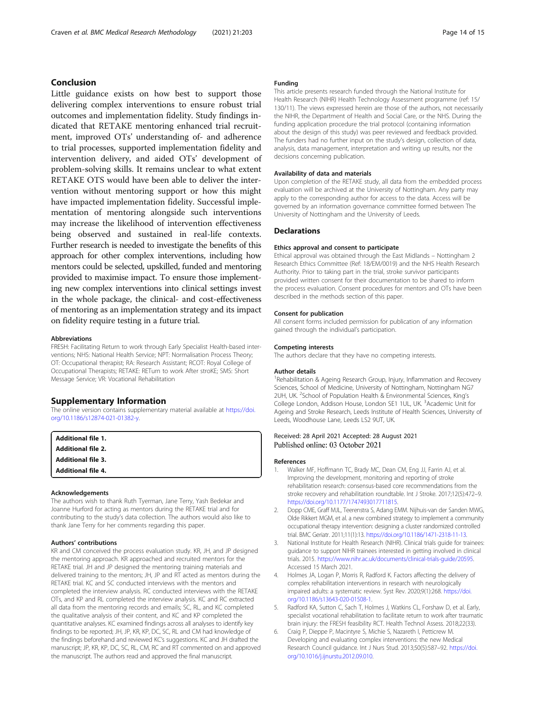# <span id="page-13-0"></span>Conclusion

Little guidance exists on how best to support those delivering complex interventions to ensure robust trial outcomes and implementation fidelity. Study findings indicated that RETAKE mentoring enhanced trial recruitment, improved OTs' understanding of- and adherence to trial processes, supported implementation fidelity and intervention delivery, and aided OTs' development of problem-solving skills. It remains unclear to what extent RETAKE OTS would have been able to deliver the intervention without mentoring support or how this might have impacted implementation fidelity. Successful implementation of mentoring alongside such interventions may increase the likelihood of intervention effectiveness being observed and sustained in real-life contexts. Further research is needed to investigate the benefits of this approach for other complex interventions, including how mentors could be selected, upskilled, funded and mentoring provided to maximise impact. To ensure those implementing new complex interventions into clinical settings invest in the whole package, the clinical- and cost-effectiveness of mentoring as an implementation strategy and its impact on fidelity require testing in a future trial.

#### Abbreviations

FRESH: Facilitating Return to work through Early Specialist Health-based interventions; NHS: National Health Service; NPT: Normalisation Process Theory; OT: Occupational therapist; RA: Research Assistant; RCOT: Royal College of Occupational Therapists; RETAKE: RETurn to work After stroKE; SMS: Short Message Service; VR: Vocational Rehabilitation

#### Supplementary Information

The online version contains supplementary material available at [https://doi.](https://doi.org/10.1186/s12874-021-01382-y) [org/10.1186/s12874-021-01382-y](https://doi.org/10.1186/s12874-021-01382-y).

| <b>Additional file 1.</b> |  |
|---------------------------|--|
| <b>Additional file 2.</b> |  |
| <b>Additional file 3.</b> |  |
| <b>Additional file 4.</b> |  |

#### Acknowledgements

The authors wish to thank Ruth Tyerman, Jane Terry, Yash Bedekar and Joanne Hurford for acting as mentors during the RETAKE trial and for contributing to the study's data collection. The authors would also like to thank Jane Terry for her comments regarding this paper.

#### Authors' contributions

KR and CM conceived the process evaluation study. KR, JH, and JP designed the mentoring approach. KR approached and recruited mentors for the RETAKE trial. JH and JP designed the mentoring training materials and delivered training to the mentors; JH, JP and RT acted as mentors during the RETAKE trial. KC and SC conducted interviews with the mentors and completed the interview analysis. RC conducted interviews with the RETAKE OTs, and KP and RL completed the interview analysis. KC and RC extracted all data from the mentoring records and emails; SC, RL, and KC completed the qualitative analysis of their content, and KC and KP completed the quantitative analyses. KC examined findings across all analyses to identify key findings to be reported; JH, JP, KR, KP, DC, SC, RL and CM had knowledge of the findings beforehand and reviewed KC's suggestions. KC and JH drafted the manuscript; JP, KR, KP, DC, SC, RL, CM, RC and RT commented on and approved the manuscript. The authors read and approved the final manuscript.

#### Funding

This article presents research funded through the National Institute for Health Research (NIHR) Health Technology Assessment programme (ref: 15/ 130/11). The views expressed herein are those of the authors, not necessarily the NIHR, the Department of Health and Social Care, or the NHS. During the funding application procedure the trial protocol (containing information about the design of this study) was peer reviewed and feedback provided. The funders had no further input on the study's design, collection of data, analysis, data management, interpretation and writing up results, nor the decisions concerning publication.

#### Availability of data and materials

Upon completion of the RETAKE study, all data from the embedded process evaluation will be archived at the University of Nottingham. Any party may apply to the corresponding author for access to the data. Access will be governed by an information governance committee formed between The University of Nottingham and the University of Leeds.

#### **Declarations**

#### Ethics approval and consent to participate

Ethical approval was obtained through the East Midlands – Nottingham 2 Research Ethics Committee (Ref: 18/EM/0019) and the NHS Health Research Authority. Prior to taking part in the trial, stroke survivor participants provided written consent for their documentation to be shared to inform the process evaluation. Consent procedures for mentors and OTs have been described in the methods section of this paper.

#### Consent for publication

All consent forms included permission for publication of any information gained through the individual's participation.

#### Competing interests

The authors declare that they have no competing interests.

#### Author details

<sup>1</sup> Rehabilitation & Ageing Research Group, Injury, Inflammation and Recovery Sciences, School of Medicine, University of Nottingham, Nottingham NG7 2UH, UK. <sup>2</sup>School of Population Health & Environmental Sciences, King's College London, Addison House, London SE1 1UL, UK. <sup>3</sup>Academic Unit for Ageing and Stroke Research, Leeds Institute of Health Sciences, University of Leeds, Woodhouse Lane, Leeds LS2 9UT, UK.

#### Received: 28 April 2021 Accepted: 28 August 2021 Published online: 03 October 2021

#### References

- Walker MF, Hoffmann TC, Brady MC, Dean CM, Eng JJ, Farrin AJ, et al. Improving the development, monitoring and reporting of stroke rehabilitation research: consensus-based core recommendations from the stroke recovery and rehabilitation roundtable. Int J Stroke. 2017;12(5):472–9. [https://doi.org/10.1177/1747493017711815.](https://doi.org/10.1177/1747493017711815)
- 2. Dopp CME, Graff MJL, Teerenstra S, Adang EMM. Nijhuis-van der Sanden MWG, Olde Rikkert MGM, et al. a new combined strategy to implement a community occupational therapy intervention: designing a cluster randomized controlled trial. BMC Geriatr. 2011;11(1):13. <https://doi.org/10.1186/1471-2318-11-13>.
- 3. National Institute for Health Research (NIHR). Clinical trials guide for trainees: guidance to support NIHR trainees interested in getting involved in clinical trials. 2015. [https://www.nihr.ac.uk/documents/clinical-trials-guide/20595.](https://www.nihr.ac.uk/documents/clinical-trials-guide/20595) Accessed 15 March 2021.
- 4. Holmes JA, Logan P, Morris R, Radford K. Factors affecting the delivery of complex rehabilitation interventions in research with neurologically impaired adults: a systematic review. Syst Rev. 2020;9(1):268. [https://doi.](https://doi.org/10.1186/s13643-020-01508-1) [org/10.1186/s13643-020-01508-1.](https://doi.org/10.1186/s13643-020-01508-1)
- 5. Radford KA, Sutton C, Sach T, Holmes J, Watkins CL, Forshaw D, et al. Early, specialist vocational rehabilitation to facilitate return to work after traumatic brain injury: the FRESH feasibility RCT. Health Technol Assess. 2018;22(33).
- 6. Craig P, Dieppe P, Macintyre S, Michie S, Nazareth I, Petticrew M. Developing and evaluating complex interventions: the new Medical Research Council guidance. Int J Nurs Stud. 2013;50(5):587–92. [https://doi.](https://doi.org/10.1016/j.ijnurstu.2012.09.010) [org/10.1016/j.ijnurstu.2012.09.010.](https://doi.org/10.1016/j.ijnurstu.2012.09.010)